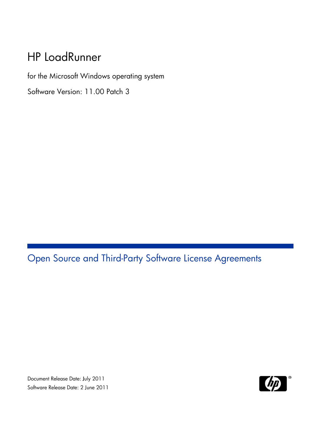## HP LoadRunner

f or the M icrosoft W Windows operating system

Software Version: 11.00 Patch 3

## Open S Source a and Th ird-Party Software License Agreements

S Software Rele ease Date: 2 June 2011 Document Release Date: July 2011

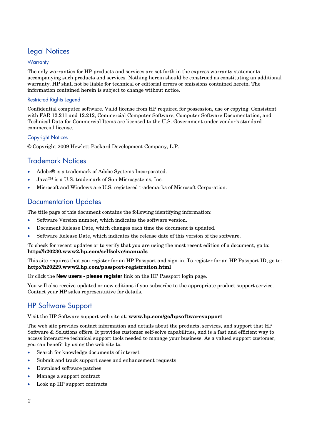### Legal Notices

#### **Warranty**

The only warranties for HP products and services are set forth in the express warranty statements accompanying such products and services. Nothing herein should be construed as constituting an additional warranty. HP shall not be liable for technical or editorial errors or omissions contained herein. The information contained herein is subject to change without notice.

#### Restricted Rights Legend

Confidential computer software. Valid license from HP required for possession, use or copying. Consistent with FAR 12.211 and 12.212, Commercial Computer Software, Computer Software Documentation, and Technical Data for Commercial Items are licensed to the U.S. Government under vendor's standard commercial license.

#### Copyright Notices

© Copyright 2009 Hewlett-Packard Development Company, L.P.

### Trademark Notices

- Adobe® is a trademark of Adobe Systems Incorporated.
- Java™ is a U.S. trademark of Sun Microsystems, Inc.
- Microsoft and Windows are U.S. registered trademarks of Microsoft Corporation.

### Documentation Updates

The title page of this document contains the following identifying information:

- Software Version number, which indicates the software version.
- Document Release Date, which changes each time the document is updated.
- Software Release Date, which indicates the release date of this version of the software.

To check for recent updates or to verify that you are using the most recent edition of a document, go to: **http://h20230.www2.hp.com/selfsolve/manuals** 

This site requires that you register for an HP Passport and sign-in. To register for an HP Passport ID, go to: **http://h20229.www2.hp.com/passport-registration.html** 

Or click the **New users - please register** link on the HP Passport login page.

You will also receive updated or new editions if you subscribe to the appropriate product support service. Contact your HP sales representative for details.

### HP Software Support

Visit the HP Software support web site at: **www.hp.com/go/hpsoftwaresupport** 

The web site provides contact information and details about the products, services, and support that HP Software & Solutions offers. It provides customer self-solve capabilities, and is a fast and efficient way to access interactive technical support tools needed to manage your business. As a valued support customer, you can benefit by using the web site to:

- Search for knowledge documents of interest
- Submit and track support cases and enhancement requests
- Download software patches
- Manage a support contract
- Look up HP support contracts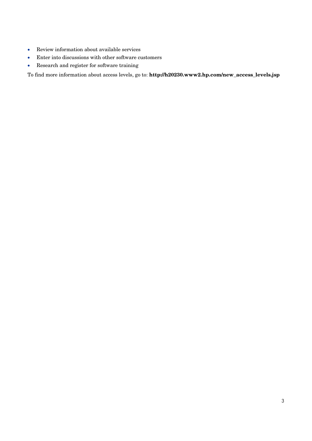- Review information about available services
- Enter into discussions with other software customers
- Research and register for software training

To find more information about access levels, go to: **http://h20230.www2.hp.com/new\_access\_levels.jsp**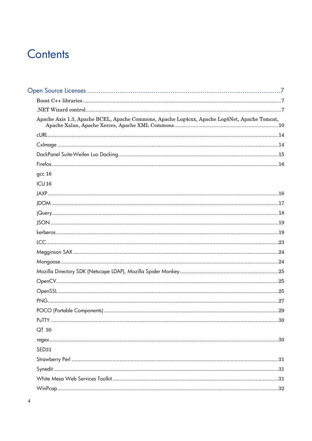## Contents

| Apache Axis 1.3, Apache BCEL, Apache Commons, Apache Log4cxx, Apache Log4Net, Apache Tomcat,                                                                                                                                                                                                                                                                                                                                                                                                                                                            |     |
|---------------------------------------------------------------------------------------------------------------------------------------------------------------------------------------------------------------------------------------------------------------------------------------------------------------------------------------------------------------------------------------------------------------------------------------------------------------------------------------------------------------------------------------------------------|-----|
|                                                                                                                                                                                                                                                                                                                                                                                                                                                                                                                                                         |     |
|                                                                                                                                                                                                                                                                                                                                                                                                                                                                                                                                                         |     |
|                                                                                                                                                                                                                                                                                                                                                                                                                                                                                                                                                         |     |
|                                                                                                                                                                                                                                                                                                                                                                                                                                                                                                                                                         |     |
| $gcc16$                                                                                                                                                                                                                                                                                                                                                                                                                                                                                                                                                 |     |
| ICU16                                                                                                                                                                                                                                                                                                                                                                                                                                                                                                                                                   |     |
|                                                                                                                                                                                                                                                                                                                                                                                                                                                                                                                                                         |     |
|                                                                                                                                                                                                                                                                                                                                                                                                                                                                                                                                                         |     |
|                                                                                                                                                                                                                                                                                                                                                                                                                                                                                                                                                         |     |
|                                                                                                                                                                                                                                                                                                                                                                                                                                                                                                                                                         |     |
|                                                                                                                                                                                                                                                                                                                                                                                                                                                                                                                                                         |     |
|                                                                                                                                                                                                                                                                                                                                                                                                                                                                                                                                                         |     |
|                                                                                                                                                                                                                                                                                                                                                                                                                                                                                                                                                         |     |
|                                                                                                                                                                                                                                                                                                                                                                                                                                                                                                                                                         |     |
|                                                                                                                                                                                                                                                                                                                                                                                                                                                                                                                                                         |     |
|                                                                                                                                                                                                                                                                                                                                                                                                                                                                                                                                                         |     |
|                                                                                                                                                                                                                                                                                                                                                                                                                                                                                                                                                         |     |
|                                                                                                                                                                                                                                                                                                                                                                                                                                                                                                                                                         |     |
|                                                                                                                                                                                                                                                                                                                                                                                                                                                                                                                                                         |     |
| PuTTY.                                                                                                                                                                                                                                                                                                                                                                                                                                                                                                                                                  | .30 |
| QT 30                                                                                                                                                                                                                                                                                                                                                                                                                                                                                                                                                   |     |
|                                                                                                                                                                                                                                                                                                                                                                                                                                                                                                                                                         |     |
| SED31                                                                                                                                                                                                                                                                                                                                                                                                                                                                                                                                                   |     |
|                                                                                                                                                                                                                                                                                                                                                                                                                                                                                                                                                         |     |
| $\textsf{Synedit}.\textcolor{red}{\textbf{un}.\textcolor{blue}{\textbf{un}.\textcolor{blue}{\textbf{un}.\textcolor{blue}{\textbf{un}.\textcolor{blue}{\textbf{un}.\textcolor{blue}{\textbf{un}.\textcolor{blue}{\textbf{un}.\textcolor{blue}{\textbf{un}.\textcolor{blue}{\textbf{un}.\textcolor{blue}{\textbf{un}.\textcolor{blue}{\textbf{un}.\textcolor{blue}{\textbf{un}.\textcolor{blue}{\textbf{un}.\textcolor{blue}{\textbf{un}.\textcolor{blue}{\textbf{un}.\textcolor{blue}{\textbf{un}.\textcolor{blue}{\textbf{un}.\textcolor{blue}{\textbf$ |     |
|                                                                                                                                                                                                                                                                                                                                                                                                                                                                                                                                                         |     |
|                                                                                                                                                                                                                                                                                                                                                                                                                                                                                                                                                         |     |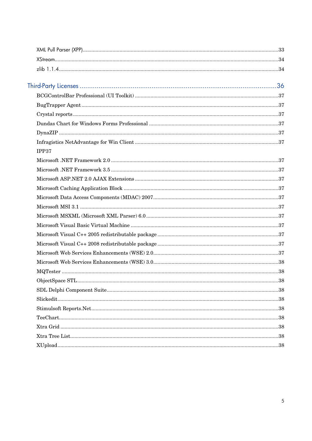| IPP37 |  |
|-------|--|
|       |  |
|       |  |
|       |  |
|       |  |
|       |  |
|       |  |
|       |  |
|       |  |
|       |  |
|       |  |
|       |  |
|       |  |
|       |  |
|       |  |
|       |  |
|       |  |
|       |  |
|       |  |
|       |  |
|       |  |
|       |  |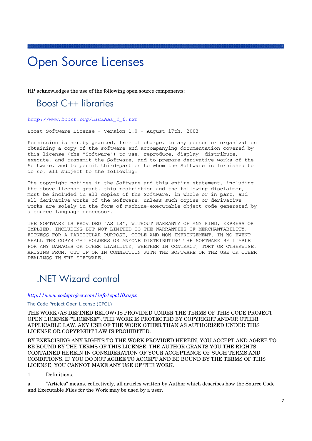## Open Source Licenses

HP acknowledges the use of the following open source components:

### Boost C++ libraries

*http://www.boost.org/LICENSE\_1\_0.txt*

Boost Software License - Version 1.0 - August 17th, 2003

Permission is hereby granted, free of charge, to any person or organization obtaining a copy of the software and accompanying documentation covered by this license (the "Software") to use, reproduce, display, distribute, execute, and transmit the Software, and to prepare derivative works of the Software, and to permit third-parties to whom the Software is furnished to do so, all subject to the following:

The copyright notices in the Software and this entire statement, including the above license grant, this restriction and the following disclaimer, must be included in all copies of the Software, in whole or in part, and all derivative works of the Software, unless such copies or derivative works are solely in the form of machine-executable object code generated by a source language processor.

THE SOFTWARE IS PROVIDED "AS IS", WITHOUT WARRANTY OF ANY KIND, EXPRESS OR IMPLIED, INCLUDING BUT NOT LIMITED TO THE WARRANTIES OF MERCHANTABILITY, FITNESS FOR A PARTICULAR PURPOSE, TITLE AND NON-INFRINGEMENT. IN NO EVENT SHALL THE COPYRIGHT HOLDERS OR ANYONE DISTRIBUTING THE SOFTWARE BE LIABLE FOR ANY DAMAGES OR OTHER LIABILITY, WHETHER IN CONTRACT, TORT OR OTHERWISE, ARISING FROM, OUT OF OR IN CONNECTION WITH THE SOFTWARE OR THE USE OR OTHER DEALINGS IN THE SOFTWARE.

### .NET Wizard control

#### *http://www.codeproject.com/info/cpol10.aspx*

#### The Code Project Open License (CPOL)

THE WORK (AS DEFINED BELOW) IS PROVIDED UNDER THE TERMS OF THIS CODE PROJECT OPEN LICENSE ("LICENSE"). THE WORK IS PROTECTED BY COPYRIGHT AND/OR OTHER APPLICABLE LAW. ANY USE OF THE WORK OTHER THAN AS AUTHORIZED UNDER THIS LICENSE OR COPYRIGHT LAW IS PROHIBITED.

BY EXERCISING ANY RIGHTS TO THE WORK PROVIDED HEREIN, YOU ACCEPT AND AGREE TO BE BOUND BY THE TERMS OF THIS LICENSE. THE AUTHOR GRANTS YOU THE RIGHTS CONTAINED HEREIN IN CONSIDERATION OF YOUR ACCEPTANCE OF SUCH TERMS AND CONDITIONS. IF YOU DO NOT AGREE TO ACCEPT AND BE BOUND BY THE TERMS OF THIS LICENSE, YOU CANNOT MAKE ANY USE OF THE WORK.

#### 1. Definitions.

a. "Articles" means, collectively, all articles written by Author which describes how the Source Code and Executable Files for the Work may be used by a user.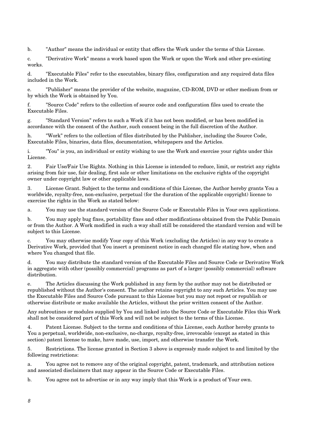b. "Author" means the individual or entity that offers the Work under the terms of this License.

c. "Derivative Work" means a work based upon the Work or upon the Work and other pre-existing works.

d. "Executable Files" refer to the executables, binary files, configuration and any required data files included in the Work.

e. "Publisher" means the provider of the website, magazine, CD-ROM, DVD or other medium from or by which the Work is obtained by You.

f. "Source Code" refers to the collection of source code and configuration files used to create the Executable Files.

g. "Standard Version" refers to such a Work if it has not been modified, or has been modified in accordance with the consent of the Author, such consent being in the full discretion of the Author.

h. "Work" refers to the collection of files distributed by the Publisher, including the Source Code, Executable Files, binaries, data files, documentation, whitepapers and the Articles.

i. "You" is you, an individual or entity wishing to use the Work and exercise your rights under this License.

2. Fair Use/Fair Use Rights. Nothing in this License is intended to reduce, limit, or restrict any rights arising from fair use, fair dealing, first sale or other limitations on the exclusive rights of the copyright owner under copyright law or other applicable laws.

3. License Grant. Subject to the terms and conditions of this License, the Author hereby grants You a worldwide, royalty-free, non-exclusive, perpetual (for the duration of the applicable copyright) license to exercise the rights in the Work as stated below:

a. You may use the standard version of the Source Code or Executable Files in Your own applications.

b. You may apply bug fixes, portability fixes and other modifications obtained from the Public Domain or from the Author. A Work modified in such a way shall still be considered the standard version and will be subject to this License.

c. You may otherwise modify Your copy of this Work (excluding the Articles) in any way to create a Derivative Work, provided that You insert a prominent notice in each changed file stating how, when and where You changed that file.

d. You may distribute the standard version of the Executable Files and Source Code or Derivative Work in aggregate with other (possibly commercial) programs as part of a larger (possibly commercial) software distribution.

e. The Articles discussing the Work published in any form by the author may not be distributed or republished without the Author's consent. The author retains copyright to any such Articles. You may use the Executable Files and Source Code pursuant to this License but you may not repost or republish or otherwise distribute or make available the Articles, without the prior written consent of the Author.

Any subroutines or modules supplied by You and linked into the Source Code or Executable Files this Work shall not be considered part of this Work and will not be subject to the terms of this License.

4. Patent License. Subject to the terms and conditions of this License, each Author hereby grants to You a perpetual, worldwide, non-exclusive, no-charge, royalty-free, irrevocable (except as stated in this section) patent license to make, have made, use, import, and otherwise transfer the Work.

5. Restrictions. The license granted in Section 3 above is expressly made subject to and limited by the following restrictions:

a. You agree not to remove any of the original copyright, patent, trademark, and attribution notices and associated disclaimers that may appear in the Source Code or Executable Files.

b. You agree not to advertise or in any way imply that this Work is a product of Your own.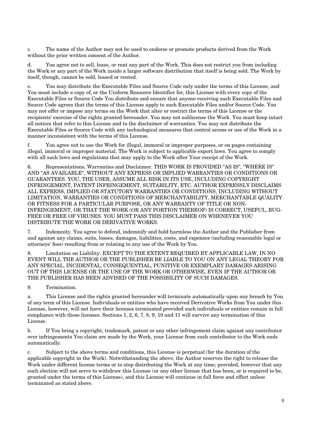c. The name of the Author may not be used to endorse or promote products derived from the Work without the prior written consent of the Author.

You agree not to sell, lease, or rent any part of the Work. This does not restrict you from including the Work or any part of the Work inside a larger software distribution that itself is being sold. The Work by itself, though, cannot be sold, leased or rented.

e. You may distribute the Executable Files and Source Code only under the terms of this License, and You must include a copy of, or the Uniform Resource Identifier for, this License with every copy of the Executable Files or Source Code You distribute and ensure that anyone receiving such Executable Files and Source Code agrees that the terms of this License apply to such Executable Files and/or Source Code. You may not offer or impose any terms on the Work that alter or restrict the terms of this License or the recipients' exercise of the rights granted hereunder. You may not sublicense the Work. You must keep intact all notices that refer to this License and to the disclaimer of warranties. You may not distribute the Executable Files or Source Code with any technological measures that control access or use of the Work in a manner inconsistent with the terms of this License.

f. You agree not to use the Work for illegal, immoral or improper purposes, or on pages containing illegal, immoral or improper material. The Work is subject to applicable export laws. You agree to comply with all such laws and regulations that may apply to the Work after Your receipt of the Work.

6. Representations, Warranties and Disclaimer. THIS WORK IS PROVIDED "AS IS", "WHERE IS" AND "AS AVAILABLE", WITHOUT ANY EXPRESS OR IMPLIED WARRANTIES OR CONDITIONS OR GUARANTEES. YOU, THE USER, ASSUME ALL RISK IN ITS USE, INCLUDING COPYRIGHT INFRINGEMENT, PATENT INFRINGEMENT, SUITABILITY, ETC. AUTHOR EXPRESSLY DISCLAIMS ALL EXPRESS, IMPLIED OR STATUTORY WARRANTIES OR CONDITIONS, INCLUDING WITHOUT LIMITATION, WARRANTIES OR CONDITIONS OF MERCHANTABILITY, MERCHANTABLE QUALITY OR FITNESS FOR A PARTICULAR PURPOSE, OR ANY WARRANTY OF TITLE OR NON-INFRINGEMENT, OR THAT THE WORK (OR ANY PORTION THEREOF) IS CORRECT, USEFUL, BUG-FREE OR FREE OF VIRUSES. YOU MUST PASS THIS DISCLAIMER ON WHENEVER YOU DISTRIBUTE THE WORK OR DERIVATIVE WORKS.

7. Indemnity. You agree to defend, indemnify and hold harmless the Author and the Publisher from and against any claims, suits, losses, damages, liabilities, costs, and expenses (including reasonable legal or attorneys' fees) resulting from or relating to any use of the Work by You.

8. Limitation on Liability. EXCEPT TO THE EXTENT REQUIRED BY APPLICABLE LAW, IN NO EVENT WILL THE AUTHOR OR THE PUBLISHER BE LIABLE TO YOU ON ANY LEGAL THEORY FOR ANY SPECIAL, INCIDENTAL, CONSEQUENTIAL, PUNITIVE OR EXEMPLARY DAMAGES ARISING OUT OF THIS LICENSE OR THE USE OF THE WORK OR OTHERWISE, EVEN IF THE AUTHOR OR THE PUBLISHER HAS BEEN ADVISED OF THE POSSIBILITY OF SUCH DAMAGES.

9. Termination.

a. This License and the rights granted hereunder will terminate automatically upon any breach by You of any term of this License. Individuals or entities who have received Derivative Works from You under this License, however, will not have their licenses terminated provided such individuals or entities remain in full compliance with those licenses. Sections 1, 2, 6, 7, 8, 9, 10 and 11 will survive any termination of this License.

b. If You bring a copyright, trademark, patent or any other infringement claim against any contributor over infringements You claim are made by the Work, your License from such contributor to the Work ends automatically.

c. Subject to the above terms and conditions, this License is perpetual (for the duration of the applicable copyright in the Work). Notwithstanding the above, the Author reserves the right to release the Work under different license terms or to stop distributing the Work at any time; provided, however that any such election will not serve to withdraw this License (or any other license that has been, or is required to be, granted under the terms of this License), and this License will continue in full force and effect unless terminated as stated above.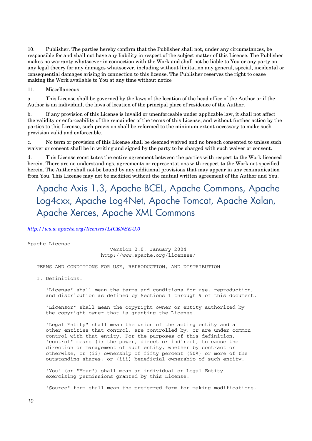10. Publisher. The parties hereby confirm that the Publisher shall not, under any circumstances, be responsible for and shall not have any liability in respect of the subject matter of this License. The Publisher makes no warranty whatsoever in connection with the Work and shall not be liable to You or any party on any legal theory for any damages whatsoever, including without limitation any general, special, incidental or consequential damages arising in connection to this license. The Publisher reserves the right to cease making the Work available to You at any time without notice

11. Miscellaneous

a. This License shall be governed by the laws of the location of the head office of the Author or if the Author is an individual, the laws of location of the principal place of residence of the Author.

b. If any provision of this License is invalid or unenforceable under applicable law, it shall not affect the validity or enforceability of the remainder of the terms of this License, and without further action by the parties to this License, such provision shall be reformed to the minimum extent necessary to make such provision valid and enforceable.

c. No term or provision of this License shall be deemed waived and no breach consented to unless such waiver or consent shall be in writing and signed by the party to be charged with such waiver or consent.

d. This License constitutes the entire agreement between the parties with respect to the Work licensed herein. There are no understandings, agreements or representations with respect to the Work not specified herein. The Author shall not be bound by any additional provisions that may appear in any communication from You. This License may not be modified without the mutual written agreement of the Author and You.

## Apache Axis 1.3, Apache BCEL, Apache Commons, Apache Log4cxx, Apache Log4Net, Apache Tomcat, Apache Xalan, Apache Xerces, Apache XML Commons

*http://www.apache.org/licenses/LICENSE-2.0*

Apache License

 Version 2.0, January 2004 http://www.apache.org/licenses/

TERMS AND CONDITIONS FOR USE, REPRODUCTION, AND DISTRIBUTION

1. Definitions.

 "License" shall mean the terms and conditions for use, reproduction, and distribution as defined by Sections 1 through 9 of this document.

 "Licensor" shall mean the copyright owner or entity authorized by the copyright owner that is granting the License.

 "Legal Entity" shall mean the union of the acting entity and all other entities that control, are controlled by, or are under common control with that entity. For the purposes of this definition, "control" means (i) the power, direct or indirect, to cause the direction or management of such entity, whether by contract or otherwise, or (ii) ownership of fifty percent (50%) or more of the outstanding shares, or (iii) beneficial ownership of such entity.

 "You" (or "Your") shall mean an individual or Legal Entity exercising permissions granted by this License.

"Source" form shall mean the preferred form for making modifications,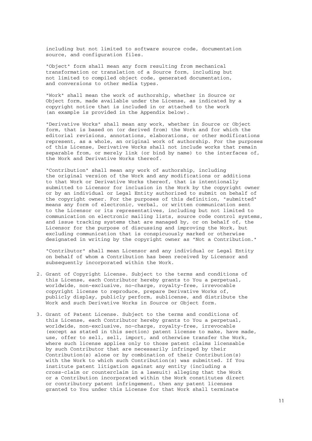including but not limited to software source code, documentation source, and configuration files.

 "Object" form shall mean any form resulting from mechanical transformation or translation of a Source form, including but not limited to compiled object code, generated documentation, and conversions to other media types.

 "Work" shall mean the work of authorship, whether in Source or Object form, made available under the License, as indicated by a copyright notice that is included in or attached to the work (an example is provided in the Appendix below).

 "Derivative Works" shall mean any work, whether in Source or Object form, that is based on (or derived from) the Work and for which the editorial revisions, annotations, elaborations, or other modifications represent, as a whole, an original work of authorship. For the purposes of this License, Derivative Works shall not include works that remain separable from, or merely link (or bind by name) to the interfaces of, the Work and Derivative Works thereof.

 "Contribution" shall mean any work of authorship, including the original version of the Work and any modifications or additions to that Work or Derivative Works thereof, that is intentionally submitted to Licensor for inclusion in the Work by the copyright owner or by an individual or Legal Entity authorized to submit on behalf of the copyright owner. For the purposes of this definition, "submitted" means any form of electronic, verbal, or written communication sent to the Licensor or its representatives, including but not limited to communication on electronic mailing lists, source code control systems, and issue tracking systems that are managed by, or on behalf of, the Licensor for the purpose of discussing and improving the Work, but excluding communication that is conspicuously marked or otherwise designated in writing by the copyright owner as "Not a Contribution."

 "Contributor" shall mean Licensor and any individual or Legal Entity on behalf of whom a Contribution has been received by Licensor and subsequently incorporated within the Work.

- 2. Grant of Copyright License. Subject to the terms and conditions of this License, each Contributor hereby grants to You a perpetual, worldwide, non-exclusive, no-charge, royalty-free, irrevocable copyright license to reproduce, prepare Derivative Works of, publicly display, publicly perform, sublicense, and distribute the Work and such Derivative Works in Source or Object form.
- 3. Grant of Patent License. Subject to the terms and conditions of this License, each Contributor hereby grants to You a perpetual, worldwide, non-exclusive, no-charge, royalty-free, irrevocable (except as stated in this section) patent license to make, have made, use, offer to sell, sell, import, and otherwise transfer the Work, where such license applies only to those patent claims licensable by such Contributor that are necessarily infringed by their Contribution(s) alone or by combination of their Contribution(s) with the Work to which such Contribution(s) was submitted. If You institute patent litigation against any entity (including a cross-claim or counterclaim in a lawsuit) alleging that the Work or a Contribution incorporated within the Work constitutes direct or contributory patent infringement, then any patent licenses granted to You under this License for that Work shall terminate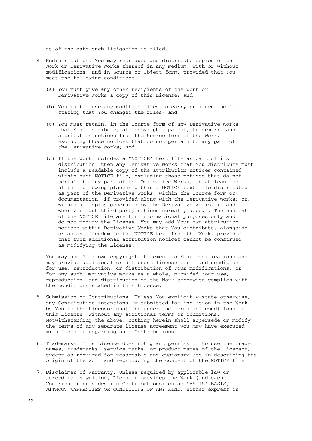as of the date such litigation is filed.

- 4. Redistribution. You may reproduce and distribute copies of the Work or Derivative Works thereof in any medium, with or without modifications, and in Source or Object form, provided that You meet the following conditions:
	- (a) You must give any other recipients of the Work or Derivative Works a copy of this License; and
	- (b) You must cause any modified files to carry prominent notices stating that You changed the files; and
	- (c) You must retain, in the Source form of any Derivative Works that You distribute, all copyright, patent, trademark, and attribution notices from the Source form of the Work, excluding those notices that do not pertain to any part of the Derivative Works; and
	- (d) If the Work includes a "NOTICE" text file as part of its distribution, then any Derivative Works that You distribute must include a readable copy of the attribution notices contained within such NOTICE file, excluding those notices that do not pertain to any part of the Derivative Works, in at least one of the following places: within a NOTICE text file distributed as part of the Derivative Works; within the Source form or documentation, if provided along with the Derivative Works; or, within a display generated by the Derivative Works, if and wherever such third-party notices normally appear. The contents of the NOTICE file are for informational purposes only and do not modify the License. You may add Your own attribution notices within Derivative Works that You distribute, alongside or as an addendum to the NOTICE text from the Work, provided that such additional attribution notices cannot be construed as modifying the License.

 You may add Your own copyright statement to Your modifications and may provide additional or different license terms and conditions for use, reproduction, or distribution of Your modifications, or for any such Derivative Works as a whole, provided Your use, reproduction, and distribution of the Work otherwise complies with the conditions stated in this License.

- 5. Submission of Contributions. Unless You explicitly state otherwise, any Contribution intentionally submitted for inclusion in the Work by You to the Licensor shall be under the terms and conditions of this License, without any additional terms or conditions. Notwithstanding the above, nothing herein shall supersede or modify the terms of any separate license agreement you may have executed with Licensor regarding such Contributions.
- 6. Trademarks. This License does not grant permission to use the trade names, trademarks, service marks, or product names of the Licensor, except as required for reasonable and customary use in describing the origin of the Work and reproducing the content of the NOTICE file.
- 7. Disclaimer of Warranty. Unless required by applicable law or agreed to in writing, Licensor provides the Work (and each Contributor provides its Contributions) on an "AS IS" BASIS, WITHOUT WARRANTIES OR CONDITIONS OF ANY KIND, either express or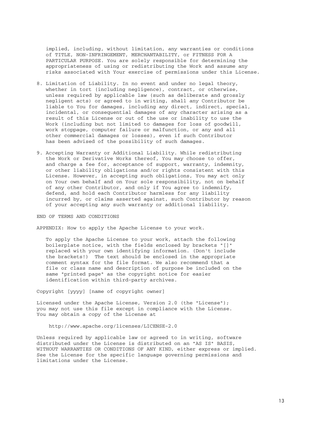implied, including, without limitation, any warranties or conditions of TITLE, NON-INFRINGEMENT, MERCHANTABILITY, or FITNESS FOR A PARTICULAR PURPOSE. You are solely responsible for determining the appropriateness of using or redistributing the Work and assume any risks associated with Your exercise of permissions under this License.

- 8. Limitation of Liability. In no event and under no legal theory, whether in tort (including negligence), contract, or otherwise, unless required by applicable law (such as deliberate and grossly negligent acts) or agreed to in writing, shall any Contributor be liable to You for damages, including any direct, indirect, special, incidental, or consequential damages of any character arising as a result of this License or out of the use or inability to use the Work (including but not limited to damages for loss of goodwill, work stoppage, computer failure or malfunction, or any and all other commercial damages or losses), even if such Contributor has been advised of the possibility of such damages.
- 9. Accepting Warranty or Additional Liability. While redistributing the Work or Derivative Works thereof, You may choose to offer, and charge a fee for, acceptance of support, warranty, indemnity, or other liability obligations and/or rights consistent with this License. However, in accepting such obligations, You may act only on Your own behalf and on Your sole responsibility, not on behalf of any other Contributor, and only if You agree to indemnify, defend, and hold each Contributor harmless for any liability incurred by, or claims asserted against, such Contributor by reason of your accepting any such warranty or additional liability.

END OF TERMS AND CONDITIONS

APPENDIX: How to apply the Apache License to your work.

 To apply the Apache License to your work, attach the following boilerplate notice, with the fields enclosed by brackets "[]" replaced with your own identifying information. (Don't include the brackets!) The text should be enclosed in the appropriate comment syntax for the file format. We also recommend that a file or class name and description of purpose be included on the same "printed page" as the copyright notice for easier identification within third-party archives.

Copyright [yyyy] [name of copyright owner]

Licensed under the Apache License, Version 2.0 (the "License"); you may not use this file except in compliance with the License. You may obtain a copy of the License at

http://www.apache.org/licenses/LICENSE-2.0

 Unless required by applicable law or agreed to in writing, software distributed under the License is distributed on an "AS IS" BASIS, WITHOUT WARRANTIES OR CONDITIONS OF ANY KIND, either express or implied. See the License for the specific language governing permissions and limitations under the License.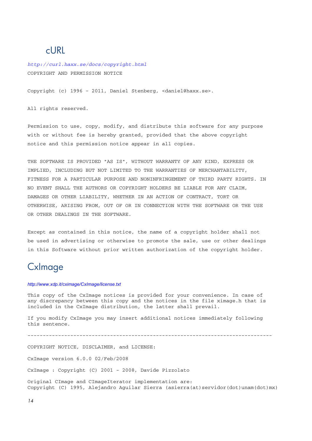### cURL

*http://curl.haxx.se/docs/copyright.html* COPYRIGHT AND PERMISSION NOTICE

Copyright (c) 1996 - 2011, Daniel Stenberg, <daniel@haxx.se>.

All rights reserved.

Permission to use, copy, modify, and distribute this software for any purpose with or without fee is hereby granted, provided that the above copyright notice and this permission notice appear in all copies.

THE SOFTWARE IS PROVIDED "AS IS", WITHOUT WARRANTY OF ANY KIND, EXPRESS OR IMPLIED, INCLUDING BUT NOT LIMITED TO THE WARRANTIES OF MERCHANTABILITY, FITNESS FOR A PARTICULAR PURPOSE AND NONINFRINGEMENT OF THIRD PARTY RIGHTS. IN NO EVENT SHALL THE AUTHORS OR COPYRIGHT HOLDERS BE LIABLE FOR ANY CLAIM, DAMAGES OR OTHER LIABILITY, WHETHER IN AN ACTION OF CONTRACT, TORT OR OTHERWISE, ARISING FROM, OUT OF OR IN CONNECTION WITH THE SOFTWARE OR THE USE OR OTHER DEALINGS IN THE SOFTWARE.

Except as contained in this notice, the name of a copyright holder shall not be used in advertising or otherwise to promote the sale, use or other dealings in this Software without prior written authorization of the copyright holder.

### **CxImage**

#### *http://www.xdp.it/cximage/CxImage/license.txt*

This copy of the CxImage notices is provided for your convenience. In case of any discrepancy between this copy and the notices in the file ximage.h that is included in the CxImage distribution, the latter shall prevail.

If you modify CxImage you may insert additional notices immediately following this sentence.

--------------------------------------------------------------------------------

COPYRIGHT NOTICE, DISCLAIMER, and LICENSE:

CxImage version 6.0.0 02/Feb/2008

CxImage : Copyright (C) 2001 - 2008, Davide Pizzolato

Original CImage and CImageIterator implementation are: Copyright (C) 1995, Alejandro Aguilar Sierra (asierra(at)servidor(dot)unam(dot)mx)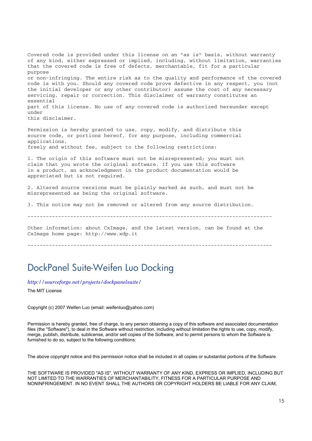Covered code is provided under this license on an "as is" basis, without warranty of any kind, either expressed or implied, including, without limitation, warranties that the covered code is free of defects, merchantable, fit for a particular purpose or non-infringing. The entire risk as to the quality and performance of the covered code is with you. Should any covered code prove defective in any respect, you (not the initial developer or any other contributor) assume the cost of any necessary servicing, repair or correction. This disclaimer of warranty constitutes an essential part of this license. No use of any covered code is authorized hereunder except under this disclaimer. Permission is hereby granted to use, copy, modify, and distribute this source code, or portions hereof, for any purpose, including commercial applications, freely and without fee, subject to the following restrictions: 1. The origin of this software must not be misrepresented; you must not

claim that you wrote the original software. If you use this software in a product, an acknowledgment in the product documentation would be appreciated but is not required.

2. Altered source versions must be plainly marked as such, and must not be misrepresented as being the original software.

3. This notice may not be removed or altered from any source distribution.

--------------------------------------------------------------------------------

Other information: about CxImage, and the latest version, can be found at the CxImage home page: http://www.xdp.it

--------------------------------------------------------------------------------

### DockPanel Suite-Weifen Luo Docking

*http://sourceforge.net/projects/dockpanelsuite/*

The MIT License

Copyright (c) 2007 Weifen Luo (email: weifenluo@yahoo.com)

Permission is hereby granted, free of charge, to any person obtaining a copy of this software and associated documentation files (the "Software"), to deal in the Software without restriction, including without limitation the rights to use, copy, modify, merge, publish, distribute, sublicense, and/or sell copies of the Software, and to permit persons to whom the Software is furnished to do so, subject to the following conditions:

The above copyright notice and this permission notice shall be included in all copies or substantial portions of the Software.

THE SOFTWARE IS PROVIDED "AS IS", WITHOUT WARRANTY OF ANY KIND, EXPRESS OR IMPLIED, INCLUDING BUT NOT LIMITED TO THE WARRANTIES OF MERCHANTABILITY, FITNESS FOR A PARTICULAR PURPOSE AND NONINFRINGEMENT. IN NO EVENT SHALL THE AUTHORS OR COPYRIGHT HOLDERS BE LIABLE FOR ANY CLAIM,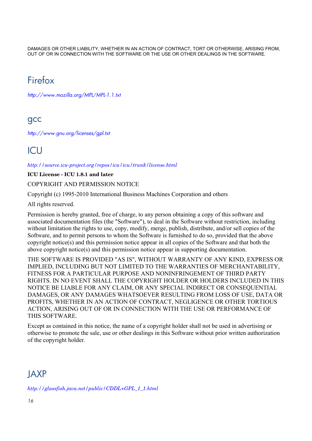DAMAGES OR OTHER LIABILITY, WHETHER IN AN ACTION OF CONTRACT, TORT OR OTHERWISE, ARISING FROM, OUT OF OR IN CONNECTION WITH THE SOFTWARE OR THE USE OR OTHER DEALINGS IN THE SOFTWARE.

## Firefox

*http://www.mozilla.org/MPL/MPL-1.1.txt*

### gcc

*http://www.gnu.org/licenses/gpl.txt*

### ICU

*http://source.icu-project.org/repos/icu/icu/trunk/license.html*

**ICU License - ICU 1.8.1 and later** 

COPYRIGHT AND PERMISSION NOTICE

Copyright (c) 1995-2010 International Business Machines Corporation and others

All rights reserved.

Permission is hereby granted, free of charge, to any person obtaining a copy of this software and associated documentation files (the "Software"), to deal in the Software without restriction, including without limitation the rights to use, copy, modify, merge, publish, distribute, and/or sell copies of the Software, and to permit persons to whom the Software is furnished to do so, provided that the above copyright notice(s) and this permission notice appear in all copies of the Software and that both the above copyright notice(s) and this permission notice appear in supporting documentation.

THE SOFTWARE IS PROVIDED "AS IS", WITHOUT WARRANTY OF ANY KIND, EXPRESS OR IMPLIED, INCLUDING BUT NOT LIMITED TO THE WARRANTIES OF MERCHANTABILITY, FITNESS FOR A PARTICULAR PURPOSE AND NONINFRINGEMENT OF THIRD PARTY RIGHTS. IN NO EVENT SHALL THE COPYRIGHT HOLDER OR HOLDERS INCLUDED IN THIS NOTICE BE LIABLE FOR ANY CLAIM, OR ANY SPECIAL INDIRECT OR CONSEQUENTIAL DAMAGES, OR ANY DAMAGES WHATSOEVER RESULTING FROM LOSS OF USE, DATA OR PROFITS, WHETHER IN AN ACTION OF CONTRACT, NEGLIGENCE OR OTHER TORTIOUS ACTION, ARISING OUT OF OR IN CONNECTION WITH THE USE OR PERFORMANCE OF THIS SOFTWARE.

Except as contained in this notice, the name of a copyright holder shall not be used in advertising or otherwise to promote the sale, use or other dealings in this Software without prior written authorization of the copyright holder.

## **JAXP**

*http://glassfish.java.net/public/CDDL+GPL\_1\_1.html*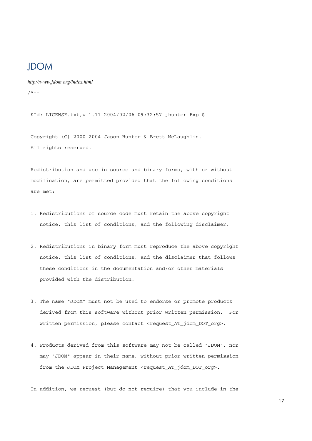### **IDOM**

*http://www.jdom.org/index.html*  $/ * - -$ 

\$Id: LICENSE.txt,v 1.11 2004/02/06 09:32:57 jhunter Exp \$

 Copyright (C) 2000-2004 Jason Hunter & Brett McLaughlin. All rights reserved.

 Redistribution and use in source and binary forms, with or without modification, are permitted provided that the following conditions are met:

- 1. Redistributions of source code must retain the above copyright notice, this list of conditions, and the following disclaimer.
- 2. Redistributions in binary form must reproduce the above copyright notice, this list of conditions, and the disclaimer that follows these conditions in the documentation and/or other materials provided with the distribution.
- 3. The name "JDOM" must not be used to endorse or promote products derived from this software without prior written permission. For written permission, please contact <request\_AT\_jdom\_DOT\_org>.
- 4. Products derived from this software may not be called "JDOM", nor may "JDOM" appear in their name, without prior written permission from the JDOM Project Management <request\_AT\_jdom\_DOT\_org>.

In addition, we request (but do not require) that you include in the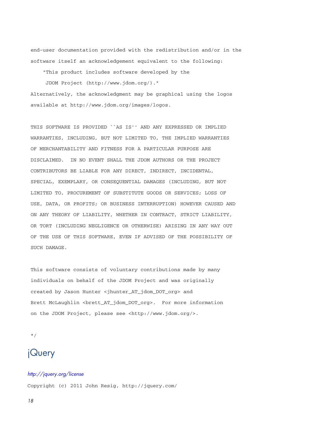end-user documentation provided with the redistribution and/or in the software itself an acknowledgement equivalent to the following:

"This product includes software developed by the

 JDOM Project (http://www.jdom.org/)." Alternatively, the acknowledgment may be graphical using the logos available at http://www.jdom.org/images/logos.

 THIS SOFTWARE IS PROVIDED ``AS IS'' AND ANY EXPRESSED OR IMPLIED WARRANTIES, INCLUDING, BUT NOT LIMITED TO, THE IMPLIED WARRANTIES OF MERCHANTABILITY AND FITNESS FOR A PARTICULAR PURPOSE ARE DISCLAIMED. IN NO EVENT SHALL THE JDOM AUTHORS OR THE PROJECT CONTRIBUTORS BE LIABLE FOR ANY DIRECT, INDIRECT, INCIDENTAL, SPECIAL, EXEMPLARY, OR CONSEQUENTIAL DAMAGES (INCLUDING, BUT NOT LIMITED TO, PROCUREMENT OF SUBSTITUTE GOODS OR SERVICES; LOSS OF USE, DATA, OR PROFITS; OR BUSINESS INTERRUPTION) HOWEVER CAUSED AND ON ANY THEORY OF LIABILITY, WHETHER IN CONTRACT, STRICT LIABILITY, OR TORT (INCLUDING NEGLIGENCE OR OTHERWISE) ARISING IN ANY WAY OUT OF THE USE OF THIS SOFTWARE, EVEN IF ADVISED OF THE POSSIBILITY OF SUCH DAMAGE.

 This software consists of voluntary contributions made by many individuals on behalf of the JDOM Project and was originally created by Jason Hunter <jhunter\_AT\_jdom\_DOT\_org> and Brett McLaughlin <brett\_AT\_jdom\_DOT\_org>. For more information on the JDOM Project, please see <http://www.jdom.org/>.

\*/

### jQuery

## *http://jquery.org/license*

Copyright (c) 2011 John Resig, http://jquery.com/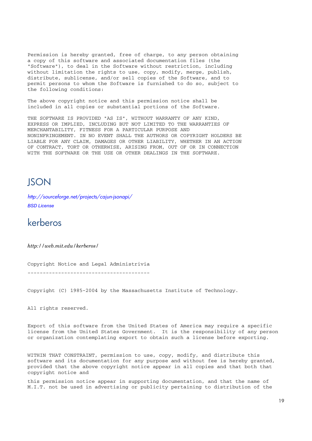Permission is hereby granted, free of charge, to any person obtaining a copy of this software and associated documentation files (the "Software"), to deal in the Software without restriction, including without limitation the rights to use, copy, modify, merge, publish, distribute, sublicense, and/or sell copies of the Software, and to permit persons to whom the Software is furnished to do so, subject to the following conditions:

The above copyright notice and this permission notice shall be included in all copies or substantial portions of the Software.

THE SOFTWARE IS PROVIDED "AS IS", WITHOUT WARRANTY OF ANY KIND, EXPRESS OR IMPLIED, INCLUDING BUT NOT LIMITED TO THE WARRANTIES OF MERCHANTABILITY, FITNESS FOR A PARTICULAR PURPOSE AND NONINFRINGEMENT. IN NO EVENT SHALL THE AUTHORS OR COPYRIGHT HOLDERS BE LIABLE FOR ANY CLAIM, DAMAGES OR OTHER LIABILITY, WHETHER IN AN ACTION OF CONTRACT, TORT OR OTHERWISE, ARISING FROM, OUT OF OR IN CONNECTION WITH THE SOFTWARE OR THE USE OR OTHER DEALINGS IN THE SOFTWARE.

### **ISON**

*http://sourceforge.net/projects/cajun-jsonapi/ BSD License*

### kerberos

*http://web.mit.edu/kerberos/*

Copyright Notice and Legal Administrivia

----------------------------------------

Copyright (C) 1985-2004 by the Massachusetts Institute of Technology.

All rights reserved.

Export of this software from the United States of America may require a specific license from the United States Government. It is the responsibility of any person or organization contemplating export to obtain such a license before exporting.

WITHIN THAT CONSTRAINT, permission to use, copy, modify, and distribute this software and its documentation for any purpose and without fee is hereby granted, provided that the above copyright notice appear in all copies and that both that copyright notice and

this permission notice appear in supporting documentation, and that the name of M.I.T. not be used in advertising or publicity pertaining to distribution of the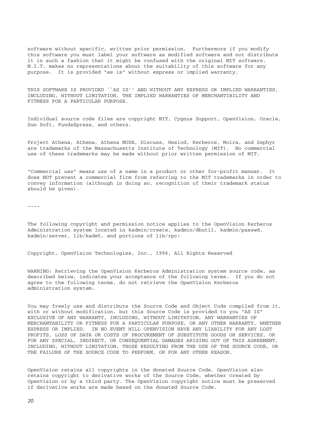software without specific, written prior permission. Furthermore if you modify this software you must label your software as modified software and not distribute it in such a fashion that it might be confused with the original MIT software. M.I.T. makes no representations about the suitability of this software for any purpose. It is provided "as is" without express or implied warranty.

THIS SOFTWARE IS PROVIDED ``AS IS'' AND WITHOUT ANY EXPRESS OR IMPLIED WARRANTIES, INCLUDING, WITHOUT LIMITATION, THE IMPLIED WARRANTIES OF MERCHANTIBILITY AND FITNESS FOR A PARTICULAR PURPOSE.

Individual source code files are copyright MIT, Cygnus Support, OpenVision, Oracle, Sun Soft, FundsXpress, and others.

Project Athena, Athena, Athena MUSE, Discuss, Hesiod, Kerberos, Moira, and Zephyr are trademarks of the Massachusetts Institute of Technology (MIT). No commercial use of these trademarks may be made without prior written permission of MIT.

"Commercial use" means use of a name in a product or other for-profit manner. It does NOT prevent a commercial firm from referring to the MIT trademarks in order to convey information (although in doing so, recognition of their trademark status should be given).

----

The following copyright and permission notice applies to the OpenVision Kerberos Administration system located in kadmin/create, kadmin/dbutil, kadmin/passwd, kadmin/server, lib/kadm5, and portions of lib/rpc:

Copyright, OpenVision Technologies, Inc., 1996, All Rights Reserved

WARNING: Retrieving the OpenVision Kerberos Administration system source code, as described below, indicates your acceptance of the following terms. If you do not agree to the following terms, do not retrieve the OpenVision Kerberos administration system.

You may freely use and distribute the Source Code and Object Code compiled from it, with or without modification, but this Source Code is provided to you "AS IS" EXCLUSIVE OF ANY WARRANTY, INCLUDING, WITHOUT LIMITATION, ANY WARRANTIES OF MERCHANTABILITY OR FITNESS FOR A PARTICULAR PURPOSE, OR ANY OTHER WARRANTY, WHETHER EXPRESS OR IMPLIED. IN NO EVENT WILL OPENVISION HAVE ANY LIABILITY FOR ANY LOST PROFITS, LOSS OF DATA OR COSTS OF PROCUREMENT OF SUBSTITUTE GOODS OR SERVICES, OR FOR ANY SPECIAL, INDIRECT, OR CONSEQUENTIAL DAMAGES ARISING OUT OF THIS AGREEMENT, INCLUDING, WITHOUT LIMITATION, THOSE RESULTING FROM THE USE OF THE SOURCE CODE, OR THE FAILURE OF THE SOURCE CODE TO PERFORM, OR FOR ANY OTHER REASON.

OpenVision retains all copyrights in the donated Source Code. OpenVision also retains copyright to derivative works of the Source Code, whether created by OpenVision or by a third party. The OpenVision copyright notice must be preserved if derivative works are made based on the donated Source Code.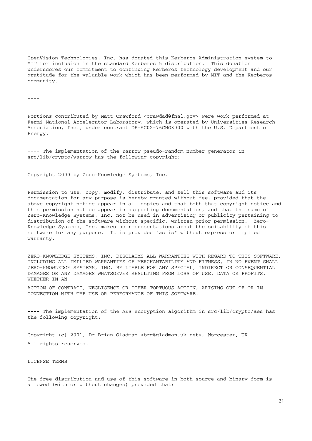OpenVision Technologies, Inc. has donated this Kerberos Administration system to MIT for inclusion in the standard Kerberos 5 distribution. This donation underscores our commitment to continuing Kerberos technology development and our gratitude for the valuable work which has been performed by MIT and the Kerberos community.

----

Portions contributed by Matt Crawford <crawdad@fnal.gov> were work performed at Fermi National Accelerator Laboratory, which is operated by Universities Research Association, Inc., under contract DE-AC02-76CHO3000 with the U.S. Department of Energy.

---- The implementation of the Yarrow pseudo-random number generator in src/lib/crypto/yarrow has the following copyright:

Copyright 2000 by Zero-Knowledge Systems, Inc.

Permission to use, copy, modify, distribute, and sell this software and its documentation for any purpose is hereby granted without fee, provided that the above copyright notice appear in all copies and that both that copyright notice and this permission notice appear in supporting documentation, and that the name of Zero-Knowledge Systems, Inc. not be used in advertising or publicity pertaining to distribution of the software without specific, written prior permission. Zero-Knowledge Systems, Inc. makes no representations about the suitability of this software for any purpose. It is provided "as is" without express or implied warranty.

ZERO-KNOWLEDGE SYSTEMS, INC. DISCLAIMS ALL WARRANTIES WITH REGARD TO THIS SOFTWARE, INCLUDING ALL IMPLIED WARRANTIES OF MERCHANTABILITY AND FITNESS, IN NO EVENT SHALL ZERO-KNOWLEDGE SYSTEMS, INC. BE LIABLE FOR ANY SPECIAL, INDIRECT OR CONSEQUENTIAL DAMAGES OR ANY DAMAGES WHATSOEVER RESULTING FROM LOSS OF USE, DATA OR PROFITS, WHETHER IN AN

ACTION OF CONTRACT, NEGLIGENCE OR OTHER TORTUOUS ACTION, ARISING OUT OF OR IN CONNECTION WITH THE USE OR PERFORMANCE OF THIS SOFTWARE.

---- The implementation of the AES encryption algorithm in src/lib/crypto/aes has the following copyright:

Copyright (c) 2001, Dr Brian Gladman <brg@gladman.uk.net>, Worcester, UK. All rights reserved.

LICENSE TERMS

The free distribution and use of this software in both source and binary form is allowed (with or without changes) provided that: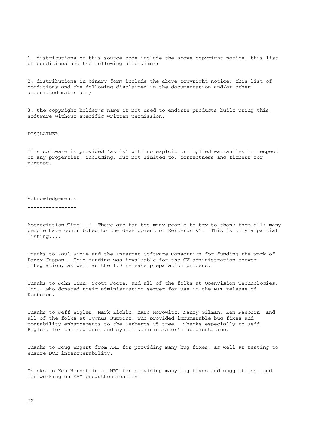1. distributions of this source code include the above copyright notice, this list of conditions and the following disclaimer;

2. distributions in binary form include the above copyright notice, this list of conditions and the following disclaimer in the documentation and/or other associated materials;

3. the copyright holder's name is not used to endorse products built using this software without specific written permission.

#### DISCLAIMER

This software is provided 'as is' with no explcit or implied warranties in respect of any properties, including, but not limited to, correctness and fitness for purpose.

#### Acknowledgements

----------------

Appreciation Time!!!! There are far too many people to try to thank them all; many people have contributed to the development of Kerberos V5. This is only a partial listing....

Thanks to Paul Vixie and the Internet Software Consortium for funding the work of Barry Jaspan. This funding was invaluable for the OV administration server integration, as well as the 1.0 release preparation process.

Thanks to John Linn, Scott Foote, and all of the folks at OpenVision Technologies, Inc., who donated their administration server for use in the MIT release of Kerberos.

Thanks to Jeff Bigler, Mark Eichin, Marc Horowitz, Nancy Gilman, Ken Raeburn, and all of the folks at Cygnus Support, who provided innumerable bug fixes and portability enhancements to the Kerberos V5 tree. Thanks especially to Jeff Bigler, for the new user and system administrator's documentation.

Thanks to Doug Engert from ANL for providing many bug fixes, as well as testing to ensure DCE interoperability.

Thanks to Ken Hornstein at NRL for providing many bug fixes and suggestions, and for working on SAM preauthentication.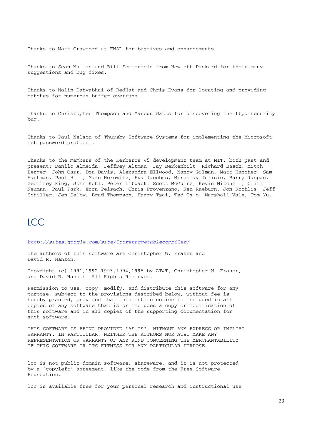Thanks to Matt Crawford at FNAL for bugfixes and enhancements.

Thanks to Sean Mullan and Bill Sommerfeld from Hewlett Packard for their many suggestions and bug fixes.

Thanks to Nalin Dahyabhai of RedHat and Chris Evans for locating and providing patches for numerous buffer overruns.

Thanks to Christopher Thompson and Marcus Watts for discovering the ftpd security bug.

Thanks to Paul Nelson of Thursby Software Systems for implementing the Microsoft set password protocol.

Thanks to the members of the Kerberos V5 development team at MIT, both past and present: Danilo Almeida, Jeffrey Altman, Jay Berkenbilt, Richard Basch, Mitch Berger, John Carr, Don Davis, Alexandra Ellwood, Nancy Gilman, Matt Hancher, Sam Hartman, Paul Hill, Marc Horowitz, Eva Jacobus, Miroslav Jurisic, Barry Jaspan, Geoffrey King, John Kohl, Peter Litwack, Scott McGuire, Kevin Mitchell, Cliff Neuman, Paul Park, Ezra Peisach, Chris Provenzano, Ken Raeburn, Jon Rochlis, Jeff Schiller, Jen Selby, Brad Thompson, Harry Tsai, Ted Ts'o, Marshall Vale, Tom Yu.

### **ICC**

*http://sites.google.com/site/lccretargetablecompiler/*

The authors of this software are Christopher W. Fraser and David R. Hanson.

Copyright (c) 1991,1992,1993,1994,1995 by AT&T, Christopher W. Fraser, and David R. Hanson. All Rights Reserved.

Permission to use, copy, modify, and distribute this software for any purpose, subject to the provisions described below, without fee is hereby granted, provided that this entire notice is included in all copies of any software that is or includes a copy or modification of this software and in all copies of the supporting documentation for such software.

THIS SOFTWARE IS BEING PROVIDED "AS IS", WITHOUT ANY EXPRESS OR IMPLIED WARRANTY. IN PARTICULAR, NEITHER THE AUTHORS NOR AT&T MAKE ANY REPRESENTATION OR WARRANTY OF ANY KIND CONCERNING THE MERCHANTABILITY OF THIS SOFTWARE OR ITS FITNESS FOR ANY PARTICULAR PURPOSE.

lcc is not public-domain software, shareware, and it is not protected by a `copyleft' agreement, like the code from the Free Software Foundation.

lcc is available free for your personal research and instructional use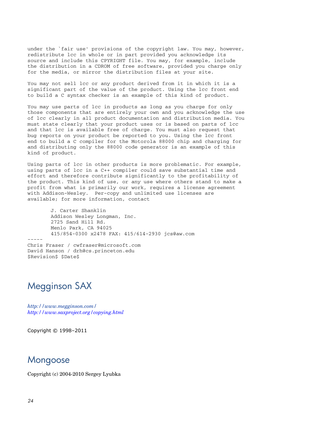under the `fair use' provisions of the copyright law. You may, however, redistribute lcc in whole or in part provided you acknowledge its source and include this CPYRIGHT file. You may, for example, include the distribution in a CDROM of free software, provided you charge only for the media, or mirror the distribution files at your site.

You may not sell lcc or any product derived from it in which it is a significant part of the value of the product. Using the lcc front end to build a C syntax checker is an example of this kind of product.

You may use parts of lcc in products as long as you charge for only those components that are entirely your own and you acknowledge the use of lcc clearly in all product documentation and distribution media. You must state clearly that your product uses or is based on parts of lcc and that lcc is available free of charge. You must also request that bug reports on your product be reported to you. Using the lcc front end to build a C compiler for the Motorola 88000 chip and charging for and distributing only the 88000 code generator is an example of this kind of product.

Using parts of lcc in other products is more problematic. For example, using parts of lcc in a C++ compiler could save substantial time and effort and therefore contribute significantly to the profitability of the product. This kind of use, or any use where others stand to make a profit from what is primarily our work, requires a license agreement with Addison-Wesley. Per-copy and unlimited use licenses are available; for more information, contact

 J. Carter Shanklin Addison Wesley Longman, Inc. 2725 Sand Hill Rd. Menlo Park, CA 94025 415/854-0300 x2478 FAX: 415/614-2930 jcs@aw.com ----- Chris Fraser / cwfraser@microsoft.com David Hanson / drh@cs.princeton.edu \$Revision\$ \$Date\$

### Megginson SAX

*http://www.megginson.com/ http://www.saxproject.org/copying.html*

Copyright © 1998–2011

### Mongoose

Copyright (c) 2004-2010 Sergey Lyubka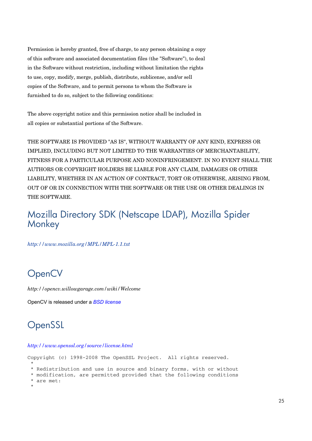Permission is hereby granted, free of charge, to any person obtaining a copy of this software and associated documentation files (the "Software"), to deal in the Software without restriction, including without limitation the rights to use, copy, modify, merge, publish, distribute, sublicense, and/or sell copies of the Software, and to permit persons to whom the Software is furnished to do so, subject to the following conditions:

The above copyright notice and this permission notice shall be included in all copies or substantial portions of the Software.

THE SOFTWARE IS PROVIDED "AS IS", WITHOUT WARRANTY OF ANY KIND, EXPRESS OR IMPLIED, INCLUDING BUT NOT LIMITED TO THE WARRANTIES OF MERCHANTABILITY, FITNESS FOR A PARTICULAR PURPOSE AND NONINFRINGEMENT. IN NO EVENT SHALL THE AUTHORS OR COPYRIGHT HOLDERS BE LIABLE FOR ANY CLAIM, DAMAGES OR OTHER LIABILITY, WHETHER IN AN ACTION OF CONTRACT, TORT OR OTHERWISE, ARISING FROM, OUT OF OR IN CONNECTION WITH THE SOFTWARE OR THE USE OR OTHER DEALINGS IN THE SOFTWARE.

### Mozilla Directory SDK (Netscape LDAP), Mozilla Spider **Monkey**

*http://www.mozilla.org/MPL/MPL-1.1.txt*

## **OpenCV**

*http://opencv.willowgarage.com/wiki/Welcome*

OpenCV is released under a *BSD license*

## **OpenSSL**

#### *http://www.openssl.org/source/license.html*

Copyright (c) 1998-2008 The OpenSSL Project. All rights reserved.

- \* \* Redistribution and use in source and binary forms, with or without
- \* modification, are permitted provided that the following conditions \* are met:
- \*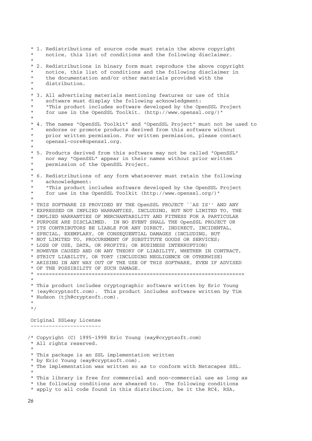\* 1. Redistributions of source code must retain the above copyright notice, this list of conditions and the following disclaimer. \* \* 2. Redistributions in binary form must reproduce the above copyright notice, this list of conditions and the following disclaimer in the documentation and/or other materials provided with the distribution. \* \* 3. All advertising materials mentioning features or use of this software must display the following acknowledgment: \* "This product includes software developed by the OpenSSL Project for use in the OpenSSL Toolkit. (http://www.openssl.org/)" \* \* 4. The names "OpenSSL Toolkit" and "OpenSSL Project" must not be used to endorse or promote products derived from this software without prior written permission. For written permission, please contact openssl-core@openssl.org. \* \* 5. Products derived from this software may not be called "OpenSSL" \* nor may "OpenSSL" appear in their names without prior written permission of the OpenSSL Project. \* \* 6. Redistributions of any form whatsoever must retain the following acknowledgment: \* "This product includes software developed by the OpenSSL Project for use in the OpenSSL Toolkit (http://www.openssl.org/)" \* \* THIS SOFTWARE IS PROVIDED BY THE OpenSSL PROJECT ``AS IS'' AND ANY \* EXPRESSED OR IMPLIED WARRANTIES, INCLUDING, BUT NOT LIMITED TO, THE \* IMPLIED WARRANTIES OF MERCHANTABILITY AND FITNESS FOR A PARTICULAR \* PURPOSE ARE DISCLAIMED. IN NO EVENT SHALL THE OpenSSL PROJECT OR \* ITS CONTRIBUTORS BE LIABLE FOR ANY DIRECT, INDIRECT, INCIDENTAL, \* SPECIAL, EXEMPLARY, OR CONSEQUENTIAL DAMAGES (INCLUDING, BUT \* NOT LIMITED TO, PROCUREMENT OF SUBSTITUTE GOODS OR SERVICES; \* LOSS OF USE, DATA, OR PROFITS; OR BUSINESS INTERRUPTION) \* HOWEVER CAUSED AND ON ANY THEORY OF LIABILITY, WHETHER IN CONTRACT, \* STRICT LIABILITY, OR TORT (INCLUDING NEGLIGENCE OR OTHERWISE) \* ARISING IN ANY WAY OUT OF THE USE OF THIS SOFTWARE, EVEN IF ADVISED \* OF THE POSSIBILITY OF SUCH DAMAGE. \* ==================================================================== \* \* This product includes cryptographic software written by Eric Young \* (eay@cryptsoft.com). This product includes software written by Tim \* Hudson (tjh@cryptsoft.com). \* \*/ Original SSLeay License ----------------------- /\* Copyright (C) 1995-1998 Eric Young (eay@cryptsoft.com) \* All rights reserved. \* \* This package is an SSL implementation written \* by Eric Young (eay@cryptsoft.com). \* The implementation was written so as to conform with Netscapes SSL. \* \* This library is free for commercial and non-commercial use as long as \* the following conditions are aheared to. The following conditions \* apply to all code found in this distribution, be it the RC4, RSA,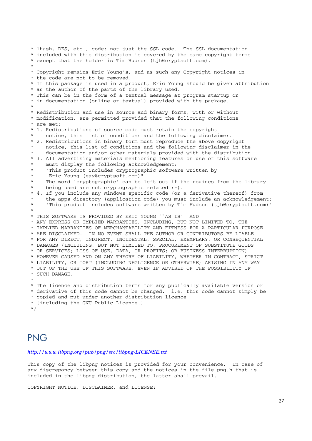\* lhash, DES, etc., code; not just the SSL code. The SSL documentation \* included with this distribution is covered by the same copyright terms \* except that the holder is Tim Hudson (tjh@cryptsoft.com). \* \* Copyright remains Eric Young's, and as such any Copyright notices in \* the code are not to be removed. \* If this package is used in a product, Eric Young should be given attribution \* as the author of the parts of the library used. \* This can be in the form of a textual message at program startup or \* in documentation (online or textual) provided with the package. \* \* Redistribution and use in source and binary forms, with or without \* modification, are permitted provided that the following conditions \* are met: \* 1. Redistributions of source code must retain the copyright notice, this list of conditions and the following disclaimer. \* 2. Redistributions in binary form must reproduce the above copyright notice, this list of conditions and the following disclaimer in the documentation and/or other materials provided with the distribution. \* 3. All advertising materials mentioning features or use of this software must display the following acknowledgement: \* "This product includes cryptographic software written by Eric Young (eay@cryptsoft.com)" The word 'cryptographic' can be left out if the rouines from the library being used are not cryptographic related  $:-)$ . 4. If you include any Windows specific code (or a derivative thereof) from the apps directory (application code) you must include an acknowledgement: \* "This product includes software written by Tim Hudson (tjh@cryptsoft.com)" \* \* THIS SOFTWARE IS PROVIDED BY ERIC YOUNG ``AS IS'' AND \* ANY EXPRESS OR IMPLIED WARRANTIES, INCLUDING, BUT NOT LIMITED TO, THE \* IMPLIED WARRANTIES OF MERCHANTABILITY AND FITNESS FOR A PARTICULAR PURPOSE \* ARE DISCLAIMED. IN NO EVENT SHALL THE AUTHOR OR CONTRIBUTORS BE LIABLE \* FOR ANY DIRECT, INDIRECT, INCIDENTAL, SPECIAL, EXEMPLARY, OR CONSEQUENTIAL \* DAMAGES (INCLUDING, BUT NOT LIMITED TO, PROCUREMENT OF SUBSTITUTE GOODS \* OR SERVICES; LOSS OF USE, DATA, OR PROFITS; OR BUSINESS INTERRUPTION) \* HOWEVER CAUSED AND ON ANY THEORY OF LIABILITY, WHETHER IN CONTRACT, STRICT \* LIABILITY, OR TORT (INCLUDING NEGLIGENCE OR OTHERWISE) ARISING IN ANY WAY \* OUT OF THE USE OF THIS SOFTWARE, EVEN IF ADVISED OF THE POSSIBILITY OF \* SUCH DAMAGE. \* \* The licence and distribution terms for any publically available version or \* derivative of this code cannot be changed. i.e. this code cannot simply be \* copied and put under another distribution licence \* [including the GNU Public Licence.]

\*/

### PNG

#### *http://www.libpng.org/pub/png/src/libpng-LICENSE.txt*

This copy of the libpng notices is provided for your convenience. In case of any discrepancy between this copy and the notices in the file png.h that is included in the libpng distribution, the latter shall prevail.

COPYRIGHT NOTICE, DISCLAIMER, and LICENSE: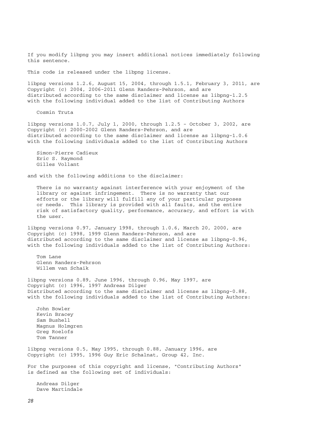If you modify libpng you may insert additional notices immediately following this sentence.

This code is released under the libpng license.

libpng versions 1.2.6, August 15, 2004, through 1.5.1, February 3, 2011, are Copyright (c) 2004, 2006-2011 Glenn Randers-Pehrson, and are distributed according to the same disclaimer and license as libpng-1.2.5 with the following individual added to the list of Contributing Authors

Cosmin Truta

libpng versions 1.0.7, July 1, 2000, through 1.2.5 - October 3, 2002, are Copyright (c) 2000-2002 Glenn Randers-Pehrson, and are distributed according to the same disclaimer and license as libpng-1.0.6 with the following individuals added to the list of Contributing Authors

 Simon-Pierre Cadieux Eric S. Raymond Gilles Vollant

and with the following additions to the disclaimer:

 There is no warranty against interference with your enjoyment of the library or against infringement. There is no warranty that our efforts or the library will fulfill any of your particular purposes or needs. This library is provided with all faults, and the entire risk of satisfactory quality, performance, accuracy, and effort is with the user.

libpng versions 0.97, January 1998, through 1.0.6, March 20, 2000, are Copyright (c) 1998, 1999 Glenn Randers-Pehrson, and are distributed according to the same disclaimer and license as libpng-0.96, with the following individuals added to the list of Contributing Authors:

 Tom Lane Glenn Randers-Pehrson Willem van Schaik

libpng versions 0.89, June 1996, through 0.96, May 1997, are Copyright (c) 1996, 1997 Andreas Dilger Distributed according to the same disclaimer and license as libpng-0.88, with the following individuals added to the list of Contributing Authors:

 John Bowler Kevin Bracey Sam Bushell Magnus Holmgren Greg Roelofs Tom Tanner

libpng versions 0.5, May 1995, through 0.88, January 1996, are Copyright (c) 1995, 1996 Guy Eric Schalnat, Group 42, Inc.

For the purposes of this copyright and license, "Contributing Authors" is defined as the following set of individuals:

 Andreas Dilger Dave Martindale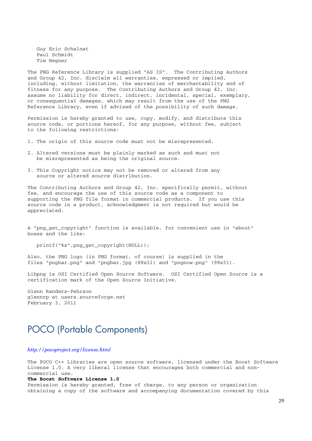Guy Eric Schalnat Paul Schmidt Tim Wegner

The PNG Reference Library is supplied "AS IS". The Contributing Authors and Group 42, Inc. disclaim all warranties, expressed or implied, including, without limitation, the warranties of merchantability and of fitness for any purpose. The Contributing Authors and Group 42, Inc. assume no liability for direct, indirect, incidental, special, exemplary, or consequential damages, which may result from the use of the PNG Reference Library, even if advised of the possibility of such damage.

Permission is hereby granted to use, copy, modify, and distribute this source code, or portions hereof, for any purpose, without fee, subject to the following restrictions:

- 1. The origin of this source code must not be misrepresented.
- 2. Altered versions must be plainly marked as such and must not be misrepresented as being the original source.
- 3. This Copyright notice may not be removed or altered from any source or altered source distribution.

The Contributing Authors and Group 42, Inc. specifically permit, without fee, and encourage the use of this source code as a component to supporting the PNG file format in commercial products. If you use this source code in a product, acknowledgment is not required but would be appreciated.

A "png get copyright" function is available, for convenient use in "about" boxes and the like:

printf("%s",png\_get\_copyright(NULL));

Also, the PNG logo (in PNG format, of course) is supplied in the files "pngbar.png" and "pngbar.jpg (88x31) and "pngnow.png" (98x31).

Libpng is OSI Certified Open Source Software. OSI Certified Open Source is a certification mark of the Open Source Initiative.

Glenn Randers-Pehrson glennrp at users.sourceforge.net February 3, 2011

### POCO (Portable Components)

#### *http://pocoproject.org/license.html*

The POCO C++ Libraries are open source software, licensed under the Boost Software License 1.0. A very liberal license that encourages both commercial and noncommercial use.

#### **The Boost Software License 1.0**

Permission is hereby granted, free of charge, to any person or organization obtaining a copy of the software and accompanying documentation covered by this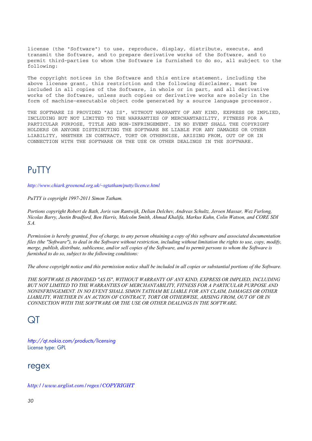license (the "Software") to use, reproduce, display, distribute, execute, and transmit the Software, and to prepare derivative works of the Software, and to permit third-parties to whom the Software is furnished to do so, all subject to the following:

The copyright notices in the Software and this entire statement, including the above license grant, this restriction and the following disclaimer, must be included in all copies of the Software, in whole or in part, and all derivative works of the Software, unless such copies or derivative works are solely in the form of machine-executable object code generated by a source language processor.

THE SOFTWARE IS PROVIDED "AS IS", WITHOUT WARRANTY OF ANY KIND, EXPRESS OR IMPLIED, INCLUDING BUT NOT LIMITED TO THE WARRANTIES OF MERCHANTABILITY, FITNESS FOR A PARTICULAR PURPOSE, TITLE AND NON-INFRINGEMENT. IN NO EVENT SHALL THE COPYRIGHT HOLDERS OR ANYONE DISTRIBUTING THE SOFTWARE BE LIABLE FOR ANY DAMAGES OR OTHER LIABILITY, WHETHER IN CONTRACT, TORT OR OTHERWISE, ARISING FROM, OUT OF OR IN CONNECTION WITH THE SOFTWARE OR THE USE OR OTHER DEALINGS IN THE SOFTWARE.

### PuTTY

*http://www.chiark.greenend.org.uk/~sgtatham/putty/licence.html*

*PuTTY is copyright 1997-2011 Simon Tatham.*

*Portions copyright Robert de Bath, Joris van Rantwijk, Delian Delchev, Andreas Schultz, Jeroen Massar, Wez Furlong, Nicolas Barry, Justin Bradford, Ben Harris, Malcolm Smith, Ahmad Khalifa, Markus Kuhn, Colin Watson, and CORE SDI S.A.*

*Permission is hereby granted, free of charge, to any person obtaining a copy of this software and associated documentation files (the "Software"), to deal in the Software without restriction, including without limitation the rights to use, copy, modify, merge, publish, distribute, sublicense, and/or sell copies of the Software, and to permit persons to whom the Software is furnished to do so, subject to the following conditions:*

*The above copyright notice and this permission notice shall be included in all copies or substantial portions of the Software.*

*THE SOFTWARE IS PROVIDED "AS IS", WITHOUT WARRANTY OF ANY KIND, EXPRESS OR IMPLIED, INCLUDING BUT NOT LIMITED TO THE WARRANTIES OF MERCHANTABILITY, FITNESS FOR A PARTICULAR PURPOSE AND NONINFRINGEMENT. IN NO EVENT SHALL SIMON TATHAM BE LIABLE FOR ANY CLAIM, DAMAGES OR OTHER LIABILITY, WHETHER IN AN ACTION OF CONTRACT, TORT OR OTHERWISE, ARISING FROM, OUT OF OR IN CONNECTION WITH THE SOFTWARE OR THE USE OR OTHER DEALINGS IN THE SOFTWARE.*

### QT

*http://qt.nokia.com/products/licensing* License type: GPL

### regex

*http://www.arglist.com/regex/COPYRIGHT*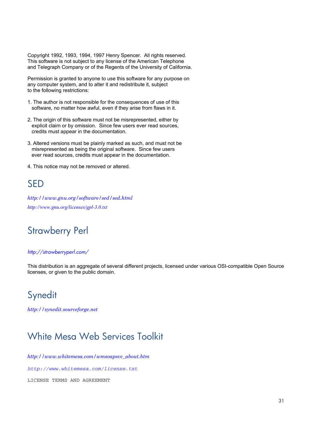Copyright 1992, 1993, 1994, 1997 Henry Spencer. All rights reserved. This software is not subject to any license of the American Telephone and Telegraph Company or of the Regents of the University of California.

Permission is granted to anyone to use this software for any purpose on any computer system, and to alter it and redistribute it, subject to the following restrictions:

- 1. The author is not responsible for the consequences of use of this software, no matter how awful, even if they arise from flaws in it.
- 2. The origin of this software must not be misrepresented, either by explicit claim or by omission. Since few users ever read sources, credits must appear in the documentation.
- 3. Altered versions must be plainly marked as such, and must not be misrepresented as being the original software. Since few users ever read sources, credits must appear in the documentation.
- 4. This notice may not be removed or altered.

## SED

*http://www.gnu.org/software/sed/sed.html http://www.gnu.org/licenses/gpl-3.0.txt*

## Strawberry Perl

#### *http://strawberryperl.com/*

This distribution is an aggregate of several different projects, licensed under various OSI-compatible Open Source licenses, or given to the public domain.

## **Synedit**

*http://synedit.sourceforge.net*

### White Mesa Web Services Toolkit

*http://www.whitemesa.com/wmsoapsvc\_about.htm http://www.whitemesa.com/license.txt* LICENSE TERMS AND AGREEMENT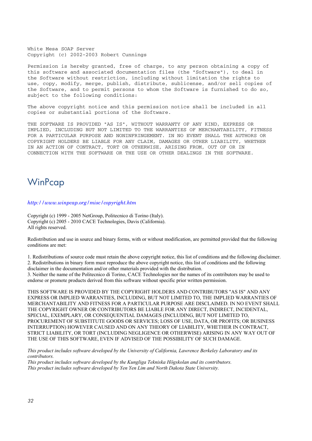White Mesa SOAP Server Copyright (c) 2002-2003 Robert Cunnings

Permission is hereby granted, free of charge, to any person obtaining a copy of this software and associated documentation files (the "Software"), to deal in the Software without restriction, including without limitation the rights to use, copy, modify, merge, publish, distribute, sublicense, and/or sell copies of the Software, and to permit persons to whom the Software is furnished to do so, subject to the following conditions:

The above copyright notice and this permission notice shall be included in all copies or substantial portions of the Software.

THE SOFTWARE IS PROVIDED "AS IS", WITHOUT WARRANTY OF ANY KIND, EXPRESS OR IMPLIED, INCLUDING BUT NOT LIMITED TO THE WARRANTIES OF MERCHANTABILITY, FITNESS FOR A PARTICULAR PURPOSE AND NONINFRINGEMENT. IN NO EVENT SHALL THE AUTHORS OR COPYRIGHT HOLDERS BE LIABLE FOR ANY CLAIM, DAMAGES OR OTHER LIABILITY, WHETHER IN AN ACTION OF CONTRACT, TORT OR OTHERWISE, ARISING FROM, OUT OF OR IN CONNECTION WITH THE SOFTWARE OR THE USE OR OTHER DEALINGS IN THE SOFTWARE.

### **WinPcap**

#### *http://www.winpcap.org/misc/copyright.htm*

Copyright (c) 1999 - 2005 NetGroup, Politecnico di Torino (Italy). Copyright (c) 2005 - 2010 CACE Technologies, Davis (California). All rights reserved.

Redistribution and use in source and binary forms, with or without modification, are permitted provided that the following conditions are met:

1. Redistributions of source code must retain the above copyright notice, this list of conditions and the following disclaimer. 2. Redistributions in binary form must reproduce the above copyright notice, this list of conditions and the following

disclaimer in the documentation and/or other materials provided with the distribution. 3. Neither the name of the Politecnico di Torino, CACE Technologies nor the names of its contributors may be used to

endorse or promote products derived from this software without specific prior written permission.

THIS SOFTWARE IS PROVIDED BY THE COPYRIGHT HOLDERS AND CONTRIBUTORS "AS IS" AND ANY EXPRESS OR IMPLIED WARRANTIES, INCLUDING, BUT NOT LIMITED TO, THE IMPLIED WARRANTIES OF MERCHANTABILITY AND FITNESS FOR A PARTICULAR PURPOSE ARE DISCLAIMED. IN NO EVENT SHALL THE COPYRIGHT OWNER OR CONTRIBUTORS BE LIABLE FOR ANY DIRECT, INDIRECT, INCIDENTAL, SPECIAL, EXEMPLARY, OR CONSEQUENTIAL DAMAGES (INCLUDING, BUT NOT LIMITED TO, PROCUREMENT OF SUBSTITUTE GOODS OR SERVICES; LOSS OF USE, DATA, OR PROFITS; OR BUSINESS INTERRUPTION) HOWEVER CAUSED AND ON ANY THEORY OF LIABILITY, WHETHER IN CONTRACT, STRICT LIABILITY, OR TORT (INCLUDING NEGLIGENCE OR OTHERWISE) ARISING IN ANY WAY OUT OF THE USE OF THIS SOFTWARE, EVEN IF ADVISED OF THE POSSIBILITY OF SUCH DAMAGE.

*This product includes software developed by the University of California, Lawrence Berkeley Laboratory and its contributors.* 

*This product includes software developed by the Kungliga Tekniska Högskolan and its contributors. This product includes software developed by Yen Yen Lim and North Dakota State University.*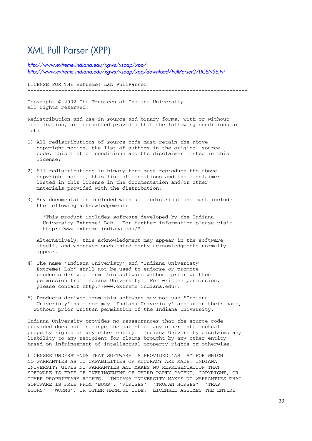### XML Pull Parser (XPP)

*http://www.extreme.indiana.edu/xgws/xsoap/xpp/ http://www.extreme.indiana.edu/xgws/xsoap/xpp/download/PullParser2/LICENSE.txt*

LICENSE FOR THE Extreme! Lab PullParser ------------------------------------------------------------------------

Copyright © 2002 The Trustees of Indiana University. All rights reserved.

Redistribution and use in source and binary forms, with or without modification, are permitted provided that the following conditions are met:

- 1) All redistributions of source code must retain the above copyright notice, the list of authors in the original source code, this list of conditions and the disclaimer listed in this license;
- 2) All redistributions in binary form must reproduce the above copyright notice, this list of conditions and the disclaimer listed in this license in the documentation and/or other materials provided with the distribution;
- 3) Any documentation included with all redistributions must include the following acknowledgement:

 "This product includes software developed by the Indiana University Extreme! Lab. For further information please visit http://www.extreme.indiana.edu/"

 Alternatively, this acknowledgment may appear in the software itself, and wherever such third-party acknowledgments normally appear.

- 4) The name "Indiana Univeristy" and "Indiana Univeristy Extreme! Lab" shall not be used to endorse or promote products derived from this software without prior written permission from Indiana University. For written permission, please contact http://www.extreme.indiana.edu/.
- 5) Products derived from this software may not use "Indiana Univeristy" name nor may "Indiana Univeristy" appear in their name, without prior written permission of the Indiana University.

Indiana University provides no reassurances that the source code provided does not infringe the patent or any other intellectual property rights of any other entity. Indiana University disclaims any liability to any recipient for claims brought by any other entity based on infringement of intellectual property rights or otherwise.

LICENSEE UNDERSTANDS THAT SOFTWARE IS PROVIDED "AS IS" FOR WHICH NO WARRANTIES AS TO CAPABILITIES OR ACCURACY ARE MADE. INDIANA UNIVERSITY GIVES NO WARRANTIES AND MAKES NO REPRESENTATION THAT SOFTWARE IS FREE OF INFRINGEMENT OF THIRD PARTY PATENT, COPYRIGHT, OR OTHER PROPRIETARY RIGHTS. INDIANA UNIVERSITY MAKES NO WARRANTIES THAT SOFTWARE IS FREE FROM "BUGS", "VIRUSES", "TROJAN HORSES", "TRAP DOORS", "WORMS", OR OTHER HARMFUL CODE. LICENSEE ASSUMES THE ENTIRE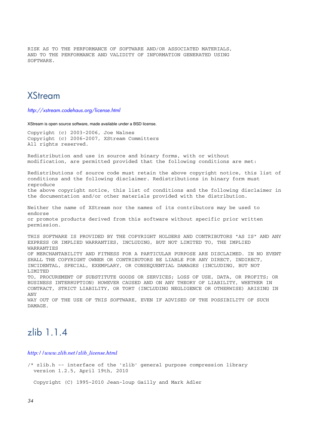RISK AS TO THE PERFORMANCE OF SOFTWARE AND/OR ASSOCIATED MATERIALS, AND TO THE PERFORMANCE AND VALIDITY OF INFORMATION GENERATED USING SOFTWARE.

### **XStream**

*http://xstream.codehaus.org/license.html*

XStream is open source software, made available under a BSD license.

Copyright (c) 2003-2006, Joe Walnes Copyright (c) 2006-2007, XStream Committers All rights reserved.

Redistribution and use in source and binary forms, with or without modification, are permitted provided that the following conditions are met:

Redistributions of source code must retain the above copyright notice, this list of conditions and the following disclaimer. Redistributions in binary form must reproduce the above copyright notice, this list of conditions and the following disclaimer in the documentation and/or other materials provided with the distribution.

Neither the name of XStream nor the names of its contributors may be used to endorse or promote products derived from this software without specific prior written permission.

THIS SOFTWARE IS PROVIDED BY THE COPYRIGHT HOLDERS AND CONTRIBUTORS "AS IS" AND ANY EXPRESS OR IMPLIED WARRANTIES, INCLUDING, BUT NOT LIMITED TO, THE IMPLIED WARRANTIES OF MERCHANTABILITY AND FITNESS FOR A PARTICULAR PURPOSE ARE DISCLAIMED. IN NO EVENT SHALL THE COPYRIGHT OWNER OR CONTRIBUTORS BE LIABLE FOR ANY DIRECT, INDIRECT, INCIDENTAL, SPECIAL, EXEMPLARY, OR CONSEQUENTIAL DAMAGES (INCLUDING, BUT NOT LIMITED TO, PROCUREMENT OF SUBSTITUTE GOODS OR SERVICES; LOSS OF USE, DATA, OR PROFITS; OR BUSINESS INTERRUPTION) HOWEVER CAUSED AND ON ANY THEORY OF LIABILITY, WHETHER IN CONTRACT, STRICT LIABILITY, OR TORT (INCLUDING NEGLIGENCE OR OTHERWISE) ARISING IN ANY

WAY OUT OF THE USE OF THIS SOFTWARE, EVEN IF ADVISED OF THE POSSIBILITY OF SUCH DAMAGE.

### zlib 1.1.4

*http://www.zlib.net/zlib\_license.html*

/\* zlib.h -- interface of the 'zlib' general purpose compression library version 1.2.5, April 19th, 2010

Copyright (C) 1995-2010 Jean-loup Gailly and Mark Adler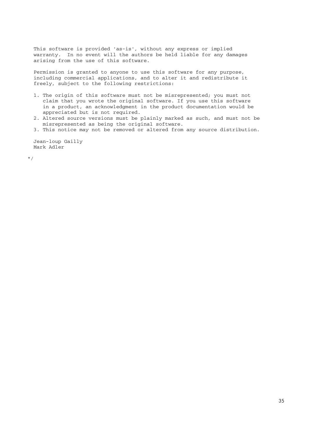This software is provided 'as-is', without any express or implied warranty. In no event will the authors be held liable for any damages arising from the use of this software.

 Permission is granted to anyone to use this software for any purpose, including commercial applications, and to alter it and redistribute it freely, subject to the following restrictions:

- 1. The origin of this software must not be misrepresented; you must not claim that you wrote the original software. If you use this software in a product, an acknowledgment in the product documentation would be appreciated but is not required.
- 2. Altered source versions must be plainly marked as such, and must not be misrepresented as being the original software.
- 3. This notice may not be removed or altered from any source distribution.

 Jean-loup Gailly Mark Adler

\*/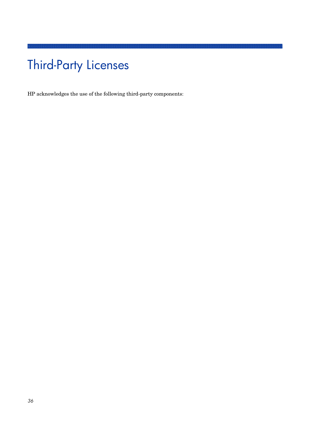# Third-Party Licenses

HP acknowledges the use of the following third-party components: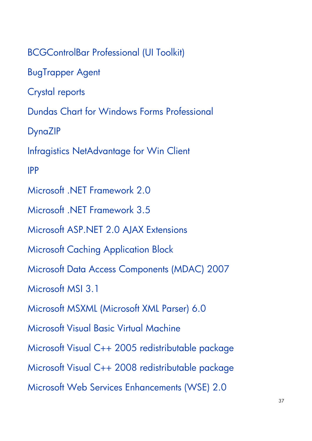BCGControlBar Professional (UI Toolkit) BugTrapper Agent Crystal reports Dundas Chart for Windows Forms Professional DynaZIP Infragistics NetAdvantage for Win Client IPP Microsoft .NET Framework 2.0 Microsoft NFT Framework 3.5 Microsoft ASP.NET 2.0 AJAX Extensions Microsoft Caching Application Block Microsoft Data Access Components (MDAC) 2007 Microsoft MSI 3.1 Microsoft MSXML (Microsoft XML Parser) 6.0 Microsoft Visual Basic Virtual Machine Microsoft Visual C++ 2005 redistributable package Microsoft Visual C++ 2008 redistributable package Microsoft Web Services Enhancements (WSE) 2.0